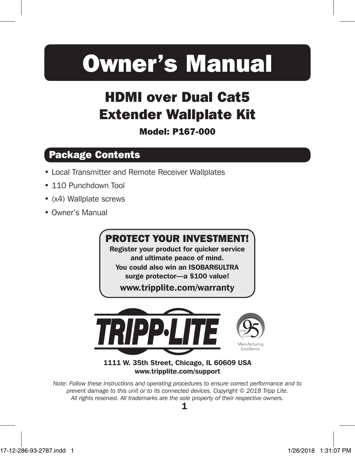# Owner's Manual

# HDMI over Dual Cat5 Extender Wallplate Kit

#### Model: P167-000

# Package Contents

- Local Transmitter and Remote Receiver Wallplates
- 110 Punchdown Tool
- (x4) Wallplate screws
- Owner's Manual

# PROTECT YOUR INVESTMENT!

Register your product for quicker service and ultimate peace of mind.

You could also win an ISOBAR6ULTRA surge protector—a \$100 value!

www.tripplite.com/warranty



#### 1111 W. 35th Street, Chicago, IL 60609 USA www.tripplite.com/support

*Note: Follow these instructions and operating procedures to ensure correct performance and to prevent damage to this unit or to its connected devices. Copyright © 2018 Tripp Lite. All rights reserved. All trademarks are the sole property of their respective owners.*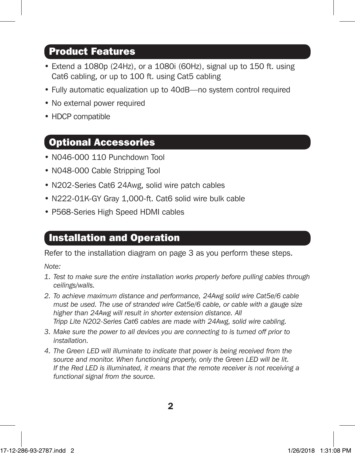#### Product Features

- Extend a 1080p (24Hz), or a 1080i (60Hz), signal up to 150 ft. using Cat6 cabling, or up to 100 ft. using Cat5 cabling
- Fully automatic equalization up to 40dB—no system control required
- No external power required
- HDCP compatible

#### Optional Accessories

- N046-000 110 Punchdown Tool
- N048-000 Cable Stripping Tool
- N202-Series Cat6 24Awg, solid wire patch cables
- N222-01K-GY Gray 1,000-ft. Cat6 solid wire bulk cable
- P568-Series High Speed HDMI cables

#### Installation and Operation

Refer to the installation diagram on page 3 as you perform these steps.

*Note:*

- *1. Test to make sure the entire installation works properly before pulling cables through ceilings/walls.*
- *2. To achieve maximum distance and performance, 24Awg solid wire Cat5e/6 cable must be used. The use of stranded wire Cat5e/6 cable, or cable with a gauge size higher than 24Awg will result in shorter extension distance. All Tripp Lite N202-Series Cat6 cables are made with 24Awg, solid wire cabling.*
- *3. Make sure the power to all devices you are connecting to is turned off prior to installation.*
- *4. The Green LED will illuminate to indicate that power is being received from the*  source and monitor. When functioning properly, only the Green LED will be lit. *If the Red LED is illuminated, it means that the remote receiver is not receiving a functional signal from the source.*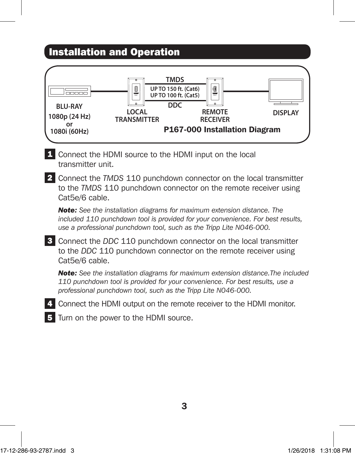# Installation and Operation



1 Connect the HDMI source to the HDMI input on the local transmitter unit.

**2** Connect the *TMDS* 110 punchdown connector on the local transmitter to the *TMDS* 110 punchdown connector on the remote receiver using Cat5e/6 cable.

*Note: See the installation diagrams for maximum extension distance. The included 110 punchdown tool is provided for your convenience. For best results, use a professional punchdown tool, such as the Tripp Lite N046-000.*

3 Connect the *DDC* 110 punchdown connector on the local transmitter to the *DDC* 110 punchdown connector on the remote receiver using Cat5e/6 cable.

*Note: See the installation diagrams for maximum extension distance.The included 110 punchdown tool is provided for your convenience. For best results, use a professional punchdown tool, such as the Tripp Lite N046-000.*

4. Connect the HDMI output on the remote receiver to the HDMI monitor.